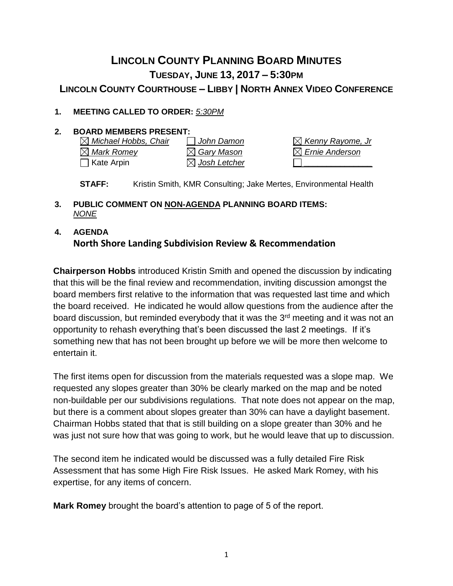# **LINCOLN COUNTY PLANNING BOARD MINUTES TUESDAY, JUNE 13, 2017 – 5:30PM LINCOLN COUNTY COURTHOUSE – LIBBY | NORTH ANNEX VIDEO CONFERENCE**

### **1. MEETING CALLED TO ORDER:** *5:30PM*

**2. BOARD MEMBERS PRESENT:**<br> **IM** Michael Hobbs, Chair **In the Damon** *Michael Hobbs, Chair John Damon Kenny Rayome, Jr Mark Romey Gary Mason Ernie Anderson* Kate Arpin *Josh Letcher \_\_\_\_\_\_\_\_\_\_\_\_\_\_\_*

**STAFF:** Kristin Smith, KMR Consulting; Jake Mertes, Environmental Health

**3. PUBLIC COMMENT ON NON-AGENDA PLANNING BOARD ITEMS:**  *NONE*

## **4. AGENDA North Shore Landing Subdivision Review & Recommendation**

**Chairperson Hobbs** introduced Kristin Smith and opened the discussion by indicating that this will be the final review and recommendation, inviting discussion amongst the board members first relative to the information that was requested last time and which the board received. He indicated he would allow questions from the audience after the board discussion, but reminded everybody that it was the 3<sup>rd</sup> meeting and it was not an opportunity to rehash everything that's been discussed the last 2 meetings. If it's something new that has not been brought up before we will be more then welcome to entertain it.

The first items open for discussion from the materials requested was a slope map. We requested any slopes greater than 30% be clearly marked on the map and be noted non-buildable per our subdivisions regulations. That note does not appear on the map, but there is a comment about slopes greater than 30% can have a daylight basement. Chairman Hobbs stated that that is still building on a slope greater than 30% and he was just not sure how that was going to work, but he would leave that up to discussion.

The second item he indicated would be discussed was a fully detailed Fire Risk Assessment that has some High Fire Risk Issues. He asked Mark Romey, with his expertise, for any items of concern.

**Mark Romey** brought the board's attention to page of 5 of the report.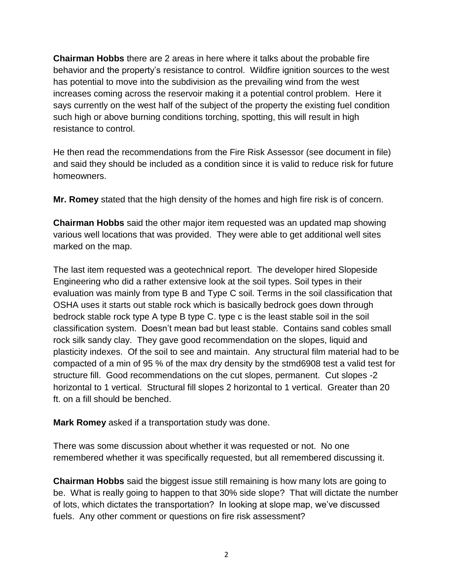**Chairman Hobbs** there are 2 areas in here where it talks about the probable fire behavior and the property's resistance to control. Wildfire ignition sources to the west has potential to move into the subdivision as the prevailing wind from the west increases coming across the reservoir making it a potential control problem. Here it says currently on the west half of the subject of the property the existing fuel condition such high or above burning conditions torching, spotting, this will result in high resistance to control.

He then read the recommendations from the Fire Risk Assessor (see document in file) and said they should be included as a condition since it is valid to reduce risk for future homeowners.

**Mr. Romey** stated that the high density of the homes and high fire risk is of concern.

**Chairman Hobbs** said the other major item requested was an updated map showing various well locations that was provided. They were able to get additional well sites marked on the map.

The last item requested was a geotechnical report. The developer hired Slopeside Engineering who did a rather extensive look at the soil types. Soil types in their evaluation was mainly from type B and Type C soil. Terms in the soil classification that OSHA uses it starts out stable rock which is basically bedrock goes down through bedrock stable rock type A type B type C. type c is the least stable soil in the soil classification system. Doesn't mean bad but least stable. Contains sand cobles small rock silk sandy clay. They gave good recommendation on the slopes, liquid and plasticity indexes. Of the soil to see and maintain. Any structural film material had to be compacted of a min of 95 % of the max dry density by the stmd6908 test a valid test for structure fill. Good recommendations on the cut slopes, permanent. Cut slopes -2 horizontal to 1 vertical. Structural fill slopes 2 horizontal to 1 vertical. Greater than 20 ft. on a fill should be benched.

**Mark Romey** asked if a transportation study was done.

There was some discussion about whether it was requested or not. No one remembered whether it was specifically requested, but all remembered discussing it.

**Chairman Hobbs** said the biggest issue still remaining is how many lots are going to be. What is really going to happen to that 30% side slope? That will dictate the number of lots, which dictates the transportation? In looking at slope map, we've discussed fuels. Any other comment or questions on fire risk assessment?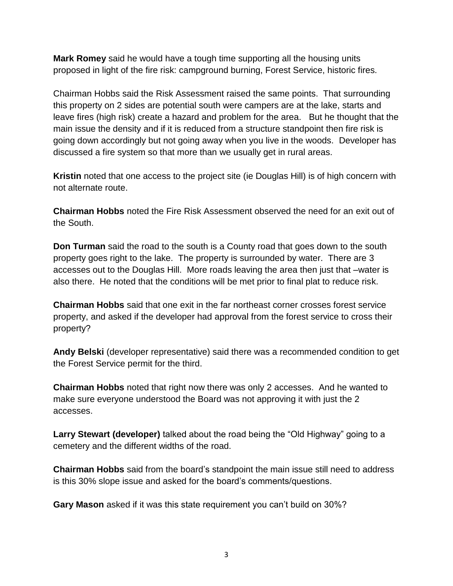**Mark Romey** said he would have a tough time supporting all the housing units proposed in light of the fire risk: campground burning, Forest Service, historic fires.

Chairman Hobbs said the Risk Assessment raised the same points. That surrounding this property on 2 sides are potential south were campers are at the lake, starts and leave fires (high risk) create a hazard and problem for the area. But he thought that the main issue the density and if it is reduced from a structure standpoint then fire risk is going down accordingly but not going away when you live in the woods. Developer has discussed a fire system so that more than we usually get in rural areas.

**Kristin** noted that one access to the project site (ie Douglas Hill) is of high concern with not alternate route.

**Chairman Hobbs** noted the Fire Risk Assessment observed the need for an exit out of the South.

**Don Turman** said the road to the south is a County road that goes down to the south property goes right to the lake. The property is surrounded by water. There are 3 accesses out to the Douglas Hill. More roads leaving the area then just that –water is also there. He noted that the conditions will be met prior to final plat to reduce risk.

**Chairman Hobbs** said that one exit in the far northeast corner crosses forest service property, and asked if the developer had approval from the forest service to cross their property?

**Andy Belski** (developer representative) said there was a recommended condition to get the Forest Service permit for the third.

**Chairman Hobbs** noted that right now there was only 2 accesses. And he wanted to make sure everyone understood the Board was not approving it with just the 2 accesses.

**Larry Stewart (developer)** talked about the road being the "Old Highway" going to a cemetery and the different widths of the road.

**Chairman Hobbs** said from the board's standpoint the main issue still need to address is this 30% slope issue and asked for the board's comments/questions.

**Gary Mason** asked if it was this state requirement you can't build on 30%?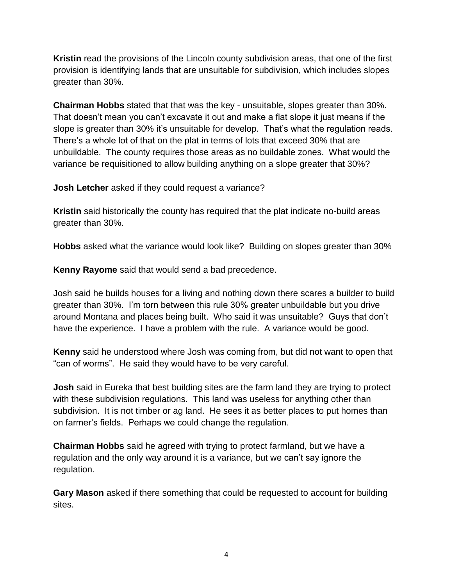**Kristin** read the provisions of the Lincoln county subdivision areas, that one of the first provision is identifying lands that are unsuitable for subdivision, which includes slopes greater than 30%.

**Chairman Hobbs** stated that that was the key - unsuitable, slopes greater than 30%. That doesn't mean you can't excavate it out and make a flat slope it just means if the slope is greater than 30% it's unsuitable for develop. That's what the regulation reads. There's a whole lot of that on the plat in terms of lots that exceed 30% that are unbuildable. The county requires those areas as no buildable zones. What would the variance be requisitioned to allow building anything on a slope greater that 30%?

**Josh Letcher** asked if they could request a variance?

**Kristin** said historically the county has required that the plat indicate no-build areas greater than 30%.

**Hobbs** asked what the variance would look like? Building on slopes greater than 30%

**Kenny Rayome** said that would send a bad precedence.

Josh said he builds houses for a living and nothing down there scares a builder to build greater than 30%. I'm torn between this rule 30% greater unbuildable but you drive around Montana and places being built. Who said it was unsuitable? Guys that don't have the experience. I have a problem with the rule. A variance would be good.

**Kenny** said he understood where Josh was coming from, but did not want to open that "can of worms". He said they would have to be very careful.

**Josh** said in Eureka that best building sites are the farm land they are trying to protect with these subdivision regulations. This land was useless for anything other than subdivision. It is not timber or ag land. He sees it as better places to put homes than on farmer's fields. Perhaps we could change the regulation.

**Chairman Hobbs** said he agreed with trying to protect farmland, but we have a regulation and the only way around it is a variance, but we can't say ignore the regulation.

**Gary Mason** asked if there something that could be requested to account for building sites.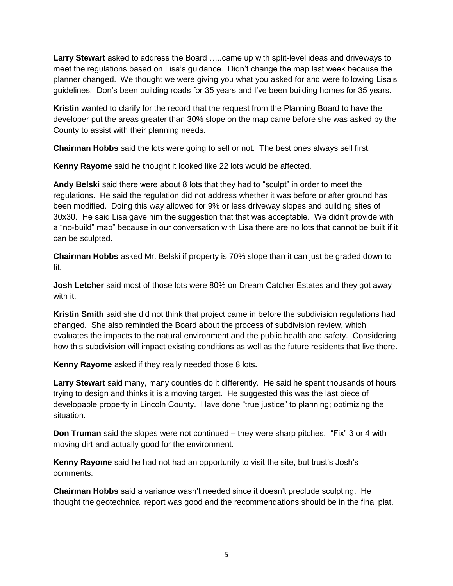**Larry Stewart** asked to address the Board …..came up with split-level ideas and driveways to meet the regulations based on Lisa's guidance. Didn't change the map last week because the planner changed. We thought we were giving you what you asked for and were following Lisa's guidelines. Don's been building roads for 35 years and I've been building homes for 35 years.

**Kristin** wanted to clarify for the record that the request from the Planning Board to have the developer put the areas greater than 30% slope on the map came before she was asked by the County to assist with their planning needs.

**Chairman Hobbs** said the lots were going to sell or not. The best ones always sell first.

**Kenny Rayome** said he thought it looked like 22 lots would be affected.

**Andy Belski** said there were about 8 lots that they had to "sculpt" in order to meet the regulations. He said the regulation did not address whether it was before or after ground has been modified. Doing this way allowed for 9% or less driveway slopes and building sites of 30x30. He said Lisa gave him the suggestion that that was acceptable. We didn't provide with a "no-build" map" because in our conversation with Lisa there are no lots that cannot be built if it can be sculpted.

**Chairman Hobbs** asked Mr. Belski if property is 70% slope than it can just be graded down to fit.

**Josh Letcher** said most of those lots were 80% on Dream Catcher Estates and they got away with it.

**Kristin Smith** said she did not think that project came in before the subdivision regulations had changed. She also reminded the Board about the process of subdivision review, which evaluates the impacts to the natural environment and the public health and safety. Considering how this subdivision will impact existing conditions as well as the future residents that live there.

**Kenny Rayome** asked if they really needed those 8 lots**.** 

**Larry Stewart** said many, many counties do it differently. He said he spent thousands of hours trying to design and thinks it is a moving target. He suggested this was the last piece of developable property in Lincoln County. Have done "true justice" to planning; optimizing the situation.

**Don Truman** said the slopes were not continued – they were sharp pitches. "Fix" 3 or 4 with moving dirt and actually good for the environment.

**Kenny Rayome** said he had not had an opportunity to visit the site, but trust's Josh's comments.

**Chairman Hobbs** said a variance wasn't needed since it doesn't preclude sculpting. He thought the geotechnical report was good and the recommendations should be in the final plat.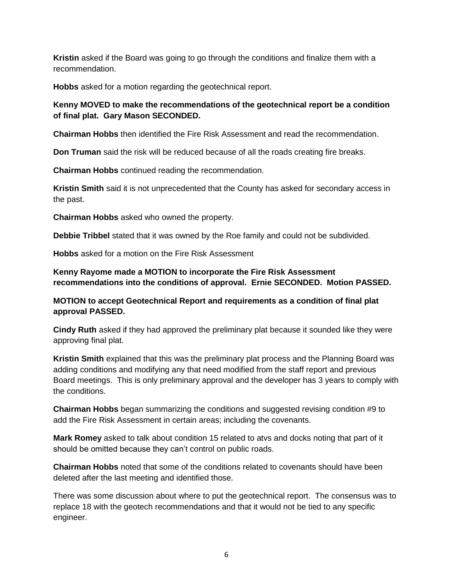**Kristin** asked if the Board was going to go through the conditions and finalize them with a recommendation.

**Hobbs** asked for a motion regarding the geotechnical report.

#### **Kenny MOVED to make the recommendations of the geotechnical report be a condition of final plat. Gary Mason SECONDED.**

**Chairman Hobbs** then identified the Fire Risk Assessment and read the recommendation.

**Don Truman** said the risk will be reduced because of all the roads creating fire breaks.

**Chairman Hobbs** continued reading the recommendation.

**Kristin Smith** said it is not unprecedented that the County has asked for secondary access in the past.

**Chairman Hobbs** asked who owned the property.

**Debbie Tribbel** stated that it was owned by the Roe family and could not be subdivided.

**Hobbs** asked for a motion on the Fire Risk Assessment

**Kenny Rayome made a MOTION to incorporate the Fire Risk Assessment recommendations into the conditions of approval. Ernie SECONDED. Motion PASSED.**

**MOTION to accept Geotechnical Report and requirements as a condition of final plat approval PASSED.** 

**Cindy Ruth** asked if they had approved the preliminary plat because it sounded like they were approving final plat.

**Kristin Smith** explained that this was the preliminary plat process and the Planning Board was adding conditions and modifying any that need modified from the staff report and previous Board meetings. This is only preliminary approval and the developer has 3 years to comply with the conditions.

**Chairman Hobbs** began summarizing the conditions and suggested revising condition #9 to add the Fire Risk Assessment in certain areas; including the covenants.

**Mark Romey** asked to talk about condition 15 related to atvs and docks noting that part of it should be omitted because they can't control on public roads.

**Chairman Hobbs** noted that some of the conditions related to covenants should have been deleted after the last meeting and identified those.

There was some discussion about where to put the geotechnical report. The consensus was to replace 18 with the geotech recommendations and that it would not be tied to any specific engineer.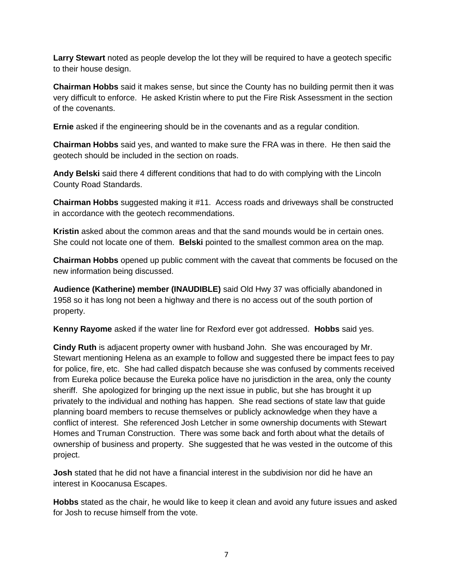**Larry Stewart** noted as people develop the lot they will be required to have a geotech specific to their house design.

**Chairman Hobbs** said it makes sense, but since the County has no building permit then it was very difficult to enforce. He asked Kristin where to put the Fire Risk Assessment in the section of the covenants.

**Ernie** asked if the engineering should be in the covenants and as a regular condition.

**Chairman Hobbs** said yes, and wanted to make sure the FRA was in there. He then said the geotech should be included in the section on roads.

**Andy Belski** said there 4 different conditions that had to do with complying with the Lincoln County Road Standards.

**Chairman Hobbs** suggested making it #11. Access roads and driveways shall be constructed in accordance with the geotech recommendations.

**Kristin** asked about the common areas and that the sand mounds would be in certain ones. She could not locate one of them. **Belski** pointed to the smallest common area on the map.

**Chairman Hobbs** opened up public comment with the caveat that comments be focused on the new information being discussed.

**Audience (Katherine) member (INAUDIBLE)** said Old Hwy 37 was officially abandoned in 1958 so it has long not been a highway and there is no access out of the south portion of property.

**Kenny Rayome** asked if the water line for Rexford ever got addressed. **Hobbs** said yes.

**Cindy Ruth** is adjacent property owner with husband John. She was encouraged by Mr. Stewart mentioning Helena as an example to follow and suggested there be impact fees to pay for police, fire, etc. She had called dispatch because she was confused by comments received from Eureka police because the Eureka police have no jurisdiction in the area, only the county sheriff. She apologized for bringing up the next issue in public, but she has brought it up privately to the individual and nothing has happen. She read sections of state law that guide planning board members to recuse themselves or publicly acknowledge when they have a conflict of interest. She referenced Josh Letcher in some ownership documents with Stewart Homes and Truman Construction. There was some back and forth about what the details of ownership of business and property. She suggested that he was vested in the outcome of this project.

**Josh** stated that he did not have a financial interest in the subdivision nor did he have an interest in Koocanusa Escapes.

**Hobbs** stated as the chair, he would like to keep it clean and avoid any future issues and asked for Josh to recuse himself from the vote.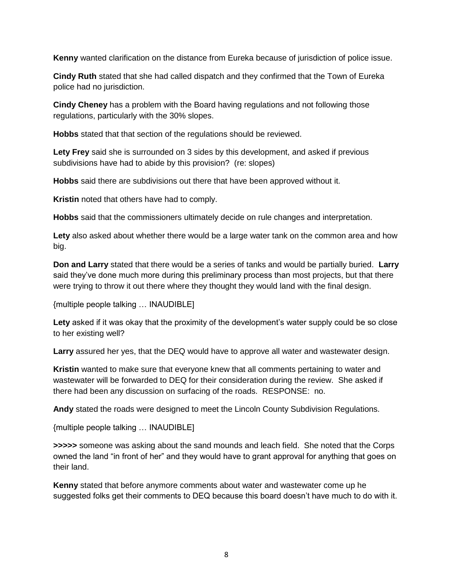**Kenny** wanted clarification on the distance from Eureka because of jurisdiction of police issue.

**Cindy Ruth** stated that she had called dispatch and they confirmed that the Town of Eureka police had no jurisdiction.

**Cindy Cheney** has a problem with the Board having regulations and not following those regulations, particularly with the 30% slopes.

**Hobbs** stated that that section of the regulations should be reviewed.

**Lety Frey** said she is surrounded on 3 sides by this development, and asked if previous subdivisions have had to abide by this provision? (re: slopes)

**Hobbs** said there are subdivisions out there that have been approved without it.

**Kristin** noted that others have had to comply.

**Hobbs** said that the commissioners ultimately decide on rule changes and interpretation.

**Lety** also asked about whether there would be a large water tank on the common area and how big.

**Don and Larry** stated that there would be a series of tanks and would be partially buried. **Larry**  said they've done much more during this preliminary process than most projects, but that there were trying to throw it out there where they thought they would land with the final design.

{multiple people talking … INAUDIBLE]

**Lety** asked if it was okay that the proximity of the development's water supply could be so close to her existing well?

**Larry** assured her yes, that the DEQ would have to approve all water and wastewater design.

**Kristin** wanted to make sure that everyone knew that all comments pertaining to water and wastewater will be forwarded to DEQ for their consideration during the review. She asked if there had been any discussion on surfacing of the roads. RESPONSE: no.

**Andy** stated the roads were designed to meet the Lincoln County Subdivision Regulations.

{multiple people talking … INAUDIBLE]

**>>>>>** someone was asking about the sand mounds and leach field. She noted that the Corps owned the land "in front of her" and they would have to grant approval for anything that goes on their land.

**Kenny** stated that before anymore comments about water and wastewater come up he suggested folks get their comments to DEQ because this board doesn't have much to do with it.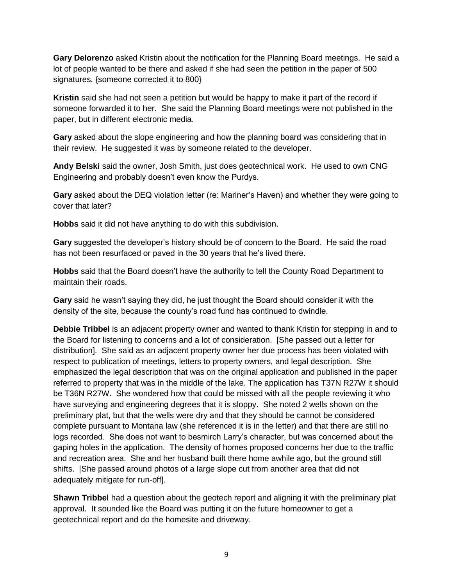**Gary Delorenzo** asked Kristin about the notification for the Planning Board meetings. He said a lot of people wanted to be there and asked if she had seen the petition in the paper of 500 signatures. {someone corrected it to 800}

**Kristin** said she had not seen a petition but would be happy to make it part of the record if someone forwarded it to her. She said the Planning Board meetings were not published in the paper, but in different electronic media.

**Gary** asked about the slope engineering and how the planning board was considering that in their review. He suggested it was by someone related to the developer.

**Andy Belski** said the owner, Josh Smith, just does geotechnical work. He used to own CNG Engineering and probably doesn't even know the Purdys.

**Gary** asked about the DEQ violation letter (re: Mariner's Haven) and whether they were going to cover that later?

**Hobbs** said it did not have anything to do with this subdivision.

**Gary** suggested the developer's history should be of concern to the Board. He said the road has not been resurfaced or paved in the 30 years that he's lived there.

**Hobbs** said that the Board doesn't have the authority to tell the County Road Department to maintain their roads.

**Gary** said he wasn't saying they did, he just thought the Board should consider it with the density of the site, because the county's road fund has continued to dwindle.

**Debbie Tribbel** is an adjacent property owner and wanted to thank Kristin for stepping in and to the Board for listening to concerns and a lot of consideration. [She passed out a letter for distribution]. She said as an adjacent property owner her due process has been violated with respect to publication of meetings, letters to property owners, and legal description. She emphasized the legal description that was on the original application and published in the paper referred to property that was in the middle of the lake. The application has T37N R27W it should be T36N R27W. She wondered how that could be missed with all the people reviewing it who have surveying and engineering degrees that it is sloppy. She noted 2 wells shown on the preliminary plat, but that the wells were dry and that they should be cannot be considered complete pursuant to Montana law (she referenced it is in the letter) and that there are still no logs recorded. She does not want to besmirch Larry's character, but was concerned about the gaping holes in the application. The density of homes proposed concerns her due to the traffic and recreation area. She and her husband built there home awhile ago, but the ground still shifts. [She passed around photos of a large slope cut from another area that did not adequately mitigate for run-off].

**Shawn Tribbel** had a question about the geotech report and aligning it with the preliminary plat approval. It sounded like the Board was putting it on the future homeowner to get a geotechnical report and do the homesite and driveway.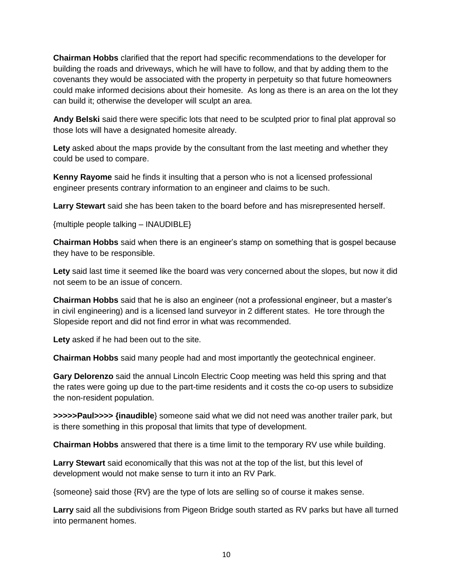**Chairman Hobbs** clarified that the report had specific recommendations to the developer for building the roads and driveways, which he will have to follow, and that by adding them to the covenants they would be associated with the property in perpetuity so that future homeowners could make informed decisions about their homesite. As long as there is an area on the lot they can build it; otherwise the developer will sculpt an area.

**Andy Belski** said there were specific lots that need to be sculpted prior to final plat approval so those lots will have a designated homesite already.

**Lety** asked about the maps provide by the consultant from the last meeting and whether they could be used to compare.

**Kenny Rayome** said he finds it insulting that a person who is not a licensed professional engineer presents contrary information to an engineer and claims to be such.

**Larry Stewart** said she has been taken to the board before and has misrepresented herself.

{multiple people talking – INAUDIBLE}

**Chairman Hobbs** said when there is an engineer's stamp on something that is gospel because they have to be responsible.

**Lety** said last time it seemed like the board was very concerned about the slopes, but now it did not seem to be an issue of concern.

**Chairman Hobbs** said that he is also an engineer (not a professional engineer, but a master's in civil engineering) and is a licensed land surveyor in 2 different states. He tore through the Slopeside report and did not find error in what was recommended.

**Lety** asked if he had been out to the site.

**Chairman Hobbs** said many people had and most importantly the geotechnical engineer.

**Gary Delorenzo** said the annual Lincoln Electric Coop meeting was held this spring and that the rates were going up due to the part-time residents and it costs the co-op users to subsidize the non-resident population.

**>>>>>Paul>>>> {inaudible**} someone said what we did not need was another trailer park, but is there something in this proposal that limits that type of development.

**Chairman Hobbs** answered that there is a time limit to the temporary RV use while building.

**Larry Stewart** said economically that this was not at the top of the list, but this level of development would not make sense to turn it into an RV Park.

{someone} said those {RV} are the type of lots are selling so of course it makes sense.

**Larry** said all the subdivisions from Pigeon Bridge south started as RV parks but have all turned into permanent homes.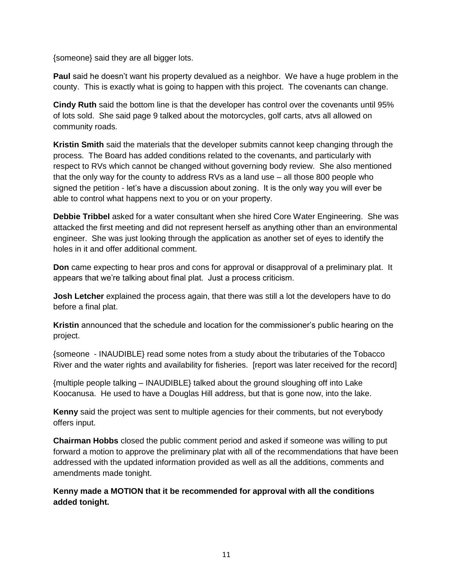{someone} said they are all bigger lots.

**Paul** said he doesn't want his property devalued as a neighbor. We have a huge problem in the county. This is exactly what is going to happen with this project. The covenants can change.

**Cindy Ruth** said the bottom line is that the developer has control over the covenants until 95% of lots sold. She said page 9 talked about the motorcycles, golf carts, atvs all allowed on community roads.

**Kristin Smith** said the materials that the developer submits cannot keep changing through the process. The Board has added conditions related to the covenants, and particularly with respect to RVs which cannot be changed without governing body review. She also mentioned that the only way for the county to address RVs as a land use – all those 800 people who signed the petition - let's have a discussion about zoning. It is the only way you will ever be able to control what happens next to you or on your property.

**Debbie Tribbel** asked for a water consultant when she hired Core Water Engineering. She was attacked the first meeting and did not represent herself as anything other than an environmental engineer. She was just looking through the application as another set of eyes to identify the holes in it and offer additional comment.

**Don** came expecting to hear pros and cons for approval or disapproval of a preliminary plat. It appears that we're talking about final plat. Just a process criticism.

**Josh Letcher** explained the process again, that there was still a lot the developers have to do before a final plat.

**Kristin** announced that the schedule and location for the commissioner's public hearing on the project.

{someone - INAUDIBLE} read some notes from a study about the tributaries of the Tobacco River and the water rights and availability for fisheries. [report was later received for the record]

{multiple people talking – INAUDIBLE} talked about the ground sloughing off into Lake Koocanusa. He used to have a Douglas Hill address, but that is gone now, into the lake.

**Kenny** said the project was sent to multiple agencies for their comments, but not everybody offers input.

**Chairman Hobbs** closed the public comment period and asked if someone was willing to put forward a motion to approve the preliminary plat with all of the recommendations that have been addressed with the updated information provided as well as all the additions, comments and amendments made tonight.

**Kenny made a MOTION that it be recommended for approval with all the conditions added tonight.**